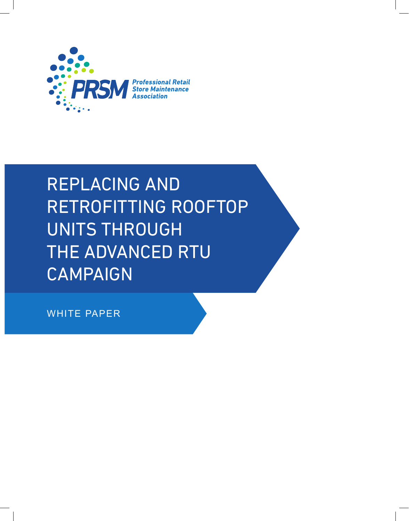

## REPLACING AND RETROFITTING ROOFTOP UNITS THROUGH THE ADVANCED RTU CAMPAIGN

WHITE PAPER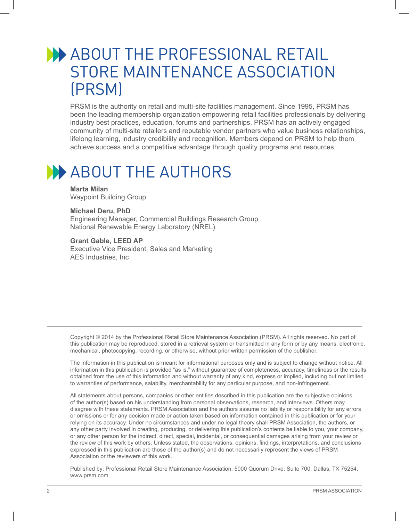#### **ABOUT THE PROFESSIONAL RETAIL** STORE MAINTENANCE ASSOCIATION (PRSM)

PRSM is the authority on retail and multi-site facilities management. Since 1995, PRSM has been the leading membership organization empowering retail facilities professionals by delivering industry best practices, education, forums and partnerships. PRSM has an actively engaged community of multi-site retailers and reputable vendor partners who value business relationships, lifelong learning, industry credibility and recognition. Members depend on PRSM to help them achieve success and a competitive advantage through quality programs and resources.

### **ABOUT THE AUTHORS**

**Marta Milan** Waypoint Building Group

#### **Michael Deru, PhD**

Engineering Manager, Commercial Buildings Research Group National Renewable Energy Laboratory (NREL)

#### **Grant Gable, LEED AP**

Executive Vice President, Sales and Marketing AES Industries, Inc

Copyright © 2014 by the Professional Retail Store Maintenance Association (PRSM). All rights reserved. No part of this publication may be reproduced, stored in a retrieval system or transmitted in any form or by any means, electronic, mechanical, photocopying, recording, or otherwise, without prior written permission of the publisher.

The information in this publication is meant for informational purposes only and is subject to change without notice. All information in this publication is provided "as is," without guarantee of completeness, accuracy, timeliness or the results obtained from the use of this information and without warranty of any kind, express or implied, including but not limited to warranties of performance, salability, merchantability for any particular purpose, and non-infringement.

All statements about persons, companies or other entities described in this publication are the subjective opinions of the author(s) based on his understanding from personal observations, research, and interviews. Others may disagree with these statements. PRSM Association and the authors assume no liability or responsibility for any errors or omissions or for any decision made or action taken based on information contained in this publication or for your relying on its accuracy. Under no circumstances and under no legal theory shall PRSM Association, the authors, or any other party involved in creating, producing, or delivering this publication's contents be liable to you, your company, or any other person for the indirect, direct, special, incidental, or consequential damages arising from your review or the review of this work by others. Unless stated, the observations, opinions, findings, interpretations, and conclusions expressed in this publication are those of the author(s) and do not necessarily represent the views of PRSM Association or the reviewers of this work.

Published by: Professional Retail Store Maintenance Association, 5000 Quorum Drive, Suite 700, Dallas, TX 75254, www.prsm.com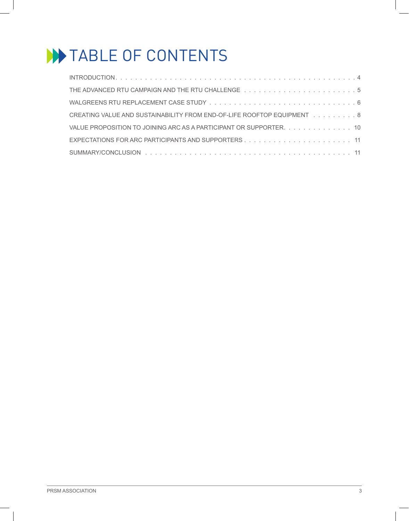## **WATABLE OF CONTENTS**

| CREATING VALUE AND SUSTAINABILITY FROM END-OF-LIFE ROOFTOP EQUIPMENT 8 |
|------------------------------------------------------------------------|
| VALUE PROPOSITION TO JOINING ARC AS A PARTICIPANT OR SUPPORTER. 10     |
|                                                                        |
|                                                                        |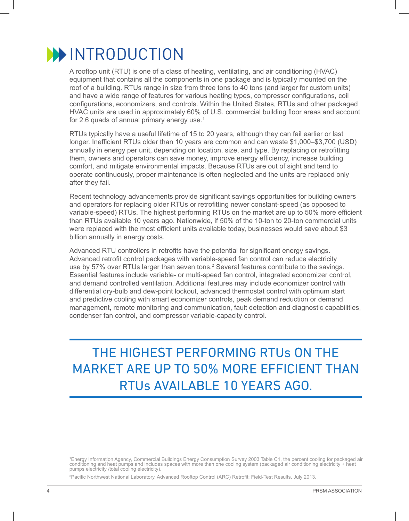

A rooftop unit (RTU) is one of a class of heating, ventilating, and air conditioning (HVAC) equipment that contains all the components in one package and is typically mounted on the roof of a building. RTUs range in size from three tons to 40 tons (and larger for custom units) and have a wide range of features for various heating types, compressor configurations, coil configurations, economizers, and controls. Within the United States, RTUs and other packaged HVAC units are used in approximately 60% of U.S. commercial building floor areas and account for 2.6 quads of annual primary energy use. $1$ 

RTUs typically have a useful lifetime of 15 to 20 years, although they can fail earlier or last longer. Inefficient RTUs older than 10 years are common and can waste \$1,000–\$3,700 (USD) annually in energy per unit, depending on location, size, and type. By replacing or retrofitting them, owners and operators can save money, improve energy efficiency, increase building comfort, and mitigate environmental impacts. Because RTUs are out of sight and tend to operate continuously, proper maintenance is often neglected and the units are replaced only after they fail.

Recent technology advancements provide significant savings opportunities for building owners and operators for replacing older RTUs or retrofitting newer constant-speed (as opposed to variable-speed) RTUs. The highest performing RTUs on the market are up to 50% more efficient than RTUs available 10 years ago. Nationwide, if 50% of the 10-ton to 20-ton commercial units were replaced with the most efficient units available today, businesses would save about \$3 billion annually in energy costs.

Advanced RTU controllers in retrofits have the potential for significant energy savings. Advanced retrofit control packages with variable-speed fan control can reduce electricity use by 57% over RTUs larger than seven tons.<sup>2</sup> Several features contribute to the savings. Essential features include variable- or multi-speed fan control, integrated economizer control, and demand controlled ventilation. Additional features may include economizer control with differential dry-bulb and dew-point lockout, advanced thermostat control with optimum start and predictive cooling with smart economizer controls, peak demand reduction or demand management, remote monitoring and communication, fault detection and diagnostic capabilities, condenser fan control, and compressor variable-capacity control.

THE HIGHEST PERFORMING RTUs ON THE MARKET ARE UP TO 50% MORE EFFICIENT THAN RTUs AVAILABLE 10 YEARS AGO.

1 Energy Information Agency, Commercial Buildings Energy Consumption Survey 2003 Table C1, the percent cooling for packaged air conditioning and heat pumps and includes spaces with more than one cooling system (packaged air conditioning electricity + heat pumps electricity /total cooling electricity),

2 Pacific Northwest National Laboratory, Advanced Rooftop Control (ARC) Retrofit: Field-Test Results, July 2013.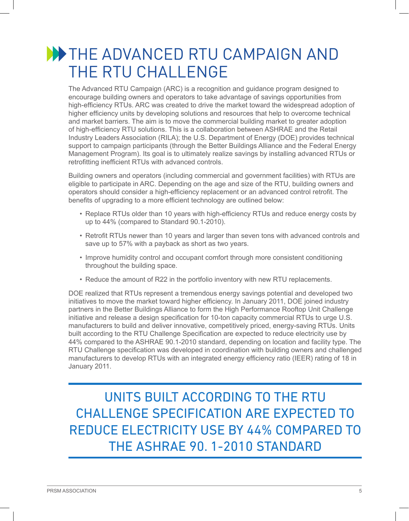#### **WE THE ADVANCED RTU CAMPAIGN AND** THE RTU CHALLENGE

The Advanced RTU Campaign (ARC) is a recognition and guidance program designed to encourage building owners and operators to take advantage of savings opportunities from high-efficiency RTUs. ARC was created to drive the market toward the widespread adoption of higher efficiency units by developing solutions and resources that help to overcome technical and market barriers. The aim is to move the commercial building market to greater adoption of high-efficiency RTU solutions. This is a collaboration between ASHRAE and the Retail Industry Leaders Association (RILA); the U.S. Department of Energy (DOE) provides technical support to campaign participants (through the Better Buildings Alliance and the Federal Energy Management Program). Its goal is to ultimately realize savings by installing advanced RTUs or retrofitting inefficient RTUs with advanced controls.

Building owners and operators (including commercial and government facilities) with RTUs are eligible to participate in ARC. Depending on the age and size of the RTU, building owners and operators should consider a high-efficiency replacement or an advanced control retrofit. The benefits of upgrading to a more efficient technology are outlined below:

- Replace RTUs older than 10 years with high-efficiency RTUs and reduce energy costs by up to 44% (compared to Standard 90.1-2010).
- Retrofit RTUs newer than 10 years and larger than seven tons with advanced controls and save up to 57% with a payback as short as two years.
- Improve humidity control and occupant comfort through more consistent conditioning throughout the building space.
- Reduce the amount of R22 in the portfolio inventory with new RTU replacements.

DOE realized that RTUs represent a tremendous energy savings potential and developed two initiatives to move the market toward higher efficiency. In January 2011, DOE joined industry partners in the Better Buildings Alliance to form the High Performance Rooftop Unit Challenge initiative and release a design specification for 10-ton capacity commercial RTUs to urge U.S. manufacturers to build and deliver innovative, competitively priced, energy-saving RTUs. Units built according to the RTU Challenge Specification are expected to reduce electricity use by 44% compared to the ASHRAE 90.1-2010 standard, depending on location and facility type. The RTU Challenge specification was developed in coordination with building owners and challenged manufacturers to develop RTUs with an integrated energy efficiency ratio (IEER) rating of 18 in January 2011.

UNITS BUILT ACCORDING TO THE RTU CHALLENGE SPECIFICATION ARE EXPECTED TO REDUCE ELECTRICITY USE BY 44% COMPARED TO THE ASHRAE 90. 1-2010 STANDARD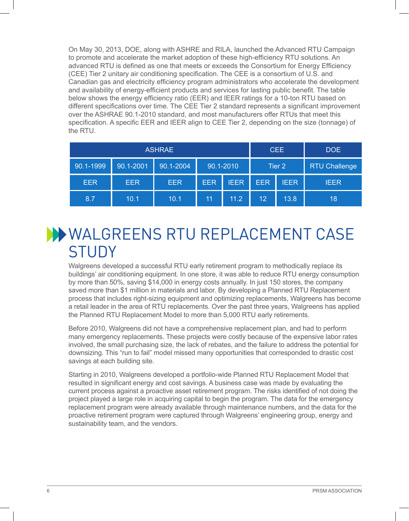On May 30, 2013, DOE, along with ASHRE and RILA, launched the Advanced RTU Campaign to promote and accelerate the market adoption of these high-efficiency RTU solutions. An advanced RTU is defined as one that meets or exceeds the Consortium for Energy Efficiency (CEE) Tier 2 unitary air conditioning specification. The CEE is a consortium of U.S. and Canadian gas and electricity efficiency program administrators who accelerate the development and availability of energy-efficient products and services for lasting public benefit. The table below shows the energy efficiency ratio (EER) and IEER ratings for a 10-ton RTU based on different specifications over time. The CEE Tier 2 standard represents a significant improvement over the ASHRAE 90.1-2010 standard, and most manufacturers offer RTUs that meet this specification. A specific EER and IEER align to CEE Tier 2, depending on the size (tonnage) of the RTU.

|            |            | <b>ASHRAE</b> |                                |             |                 | <b>CEE</b>           | <b>DOE</b>  |
|------------|------------|---------------|--------------------------------|-------------|-----------------|----------------------|-------------|
| 90.1-1999  | 90.1-2001  | 90.1-2004     | 90.1-2010<br>Tier <sub>2</sub> |             |                 | <b>RTU Challenge</b> |             |
| <b>EER</b> | <b>EER</b> | <b>EER</b>    | <b>EER</b>                     | <b>IEER</b> | <b>EER</b>      | <b>IEER</b>          | <b>IEER</b> |
| 8.7        | 10.1       | 10.1          | 11                             | 11.2        | 12 <sup>°</sup> | 13.8                 | 18          |

#### WALGREENS RTU REPLACEMENT CASE **STUDY**

Walgreens developed a successful RTU early retirement program to methodically replace its buildings' air conditioning equipment. In one store, it was able to reduce RTU energy consumption by more than 50%, saving \$14,000 in energy costs annually. In just 150 stores, the company saved more than \$1 million in materials and labor. By developing a Planned RTU Replacement process that includes right-sizing equipment and optimizing replacements, Walgreens has become a retail leader in the area of RTU replacements. Over the past three years, Walgreens has applied the Planned RTU Replacement Model to more than 5,000 RTU early retirements.

Before 2010, Walgreens did not have a comprehensive replacement plan, and had to perform many emergency replacements. These projects were costly because of the expensive labor rates involved, the small purchasing size, the lack of rebates, and the failure to address the potential for downsizing. This "run to fail" model missed many opportunities that corresponded to drastic cost savings at each building site.

Starting in 2010, Walgreens developed a portfolio-wide Planned RTU Replacement Model that resulted in significant energy and cost savings. A business case was made by evaluating the current process against a proactive asset retirement program. The risks identified of not doing the project played a large role in acquiring capital to begin the program. The data for the emergency replacement program were already available through maintenance numbers, and the data for the proactive retirement program were captured through Walgreens' engineering group, energy and sustainability team, and the vendors.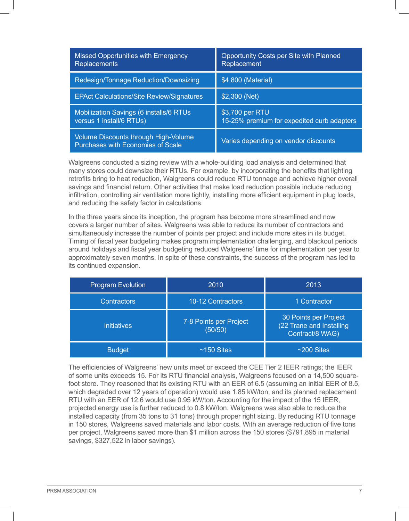| <b>Missed Opportunities with Emergency</b><br><b>Replacements</b>                | Opportunity Costs per Site with Planned<br>Replacement        |
|----------------------------------------------------------------------------------|---------------------------------------------------------------|
| Redesign/Tonnage Reduction/Downsizing                                            | \$4,800 (Material)                                            |
| <b>EPAct Calculations/Site Review/Signatures</b>                                 | \$2,300 (Net)                                                 |
| <b>Mobilization Savings (6 installs/6 RTUs)</b><br>versus 1 install/6 RTUs)      | \$3,700 per RTU<br>15-25% premium for expedited curb adapters |
| <b>Volume Discounts through High-Volume</b><br>Purchases with Economies of Scale | Varies depending on vendor discounts                          |

Walgreens conducted a sizing review with a whole-building load analysis and determined that many stores could downsize their RTUs. For example, by incorporating the benefits that lighting retrofits bring to heat reduction, Walgreens could reduce RTU tonnage and achieve higher overall savings and financial return. Other activities that make load reduction possible include reducing infiltration, controlling air ventilation more tightly, installing more efficient equipment in plug loads, and reducing the safety factor in calculations.

In the three years since its inception, the program has become more streamlined and now covers a larger number of sites. Walgreens was able to reduce its number of contractors and simultaneously increase the number of points per project and include more sites in its budget. Timing of fiscal year budgeting makes program implementation challenging, and blackout periods around holidays and fiscal year budgeting reduced Walgreens' time for implementation per year to approximately seven months. In spite of these constraints, the success of the program has led to its continued expansion.

| <b>Program Evolution</b> | 2010                              | 2013                                                                 |
|--------------------------|-----------------------------------|----------------------------------------------------------------------|
| <b>Contractors</b>       | 10-12 Contractors                 | 1 Contractor                                                         |
| <b>Initiatives</b>       | 7-8 Points per Project<br>(50/50) | 30 Points per Project<br>(22 Trane and Installing<br>Contract/8 WAG) |
| <b>Budget</b>            | $~150$ Sites                      | $~200$ Sites                                                         |

The efficiencies of Walgreens' new units meet or exceed the CEE Tier 2 IEER ratings; the IEER of some units exceeds 15. For its RTU financial analysis, Walgreens focused on a 14,500 squarefoot store. They reasoned that its existing RTU with an EER of 6.5 (assuming an initial EER of 8.5, which degraded over 12 years of operation) would use 1.85 kW/ton, and its planned replacement RTU with an EER of 12.6 would use 0.95 kW/ton. Accounting for the impact of the 15 IEER, projected energy use is further reduced to 0.8 kW/ton. Walgreens was also able to reduce the installed capacity (from 35 tons to 31 tons) through proper right sizing. By reducing RTU tonnage in 150 stores, Walgreens saved materials and labor costs. With an average reduction of five tons per project, Walgreens saved more than \$1 million across the 150 stores (\$791,895 in material savings, \$327,522 in labor savings).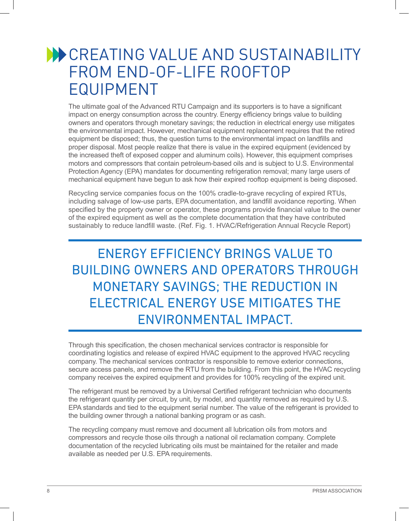#### **WE CREATING VALUE AND SUSTAINABILITY** FROM END-OF-LIFE ROOFTOP EQUIPMENT

The ultimate goal of the Advanced RTU Campaign and its supporters is to have a significant impact on energy consumption across the country. Energy efficiency brings value to building owners and operators through monetary savings; the reduction in electrical energy use mitigates the environmental impact. However, mechanical equipment replacement requires that the retired equipment be disposed; thus, the question turns to the environmental impact on landfills and proper disposal. Most people realize that there is value in the expired equipment (evidenced by the increased theft of exposed copper and aluminum coils). However, this equipment comprises motors and compressors that contain petroleum-based oils and is subject to U.S. Environmental Protection Agency (EPA) mandates for documenting refrigeration removal; many large users of mechanical equipment have begun to ask how their expired rooftop equipment is being disposed.

Recycling service companies focus on the 100% cradle-to-grave recycling of expired RTUs, including salvage of low-use parts, EPA documentation, and landfill avoidance reporting. When specified by the property owner or operator, these programs provide financial value to the owner of the expired equipment as well as the complete documentation that they have contributed sustainably to reduce landfill waste. (Ref. Fig. 1. HVAC/Refrigeration Annual Recycle Report)

#### ENERGY EFFICIENCY BRINGS VALUE TO BUILDING OWNERS AND OPERATORS THROUGH MONETARY SAVINGS; THE REDUCTION IN ELECTRICAL ENERGY USE MITIGATES THE ENVIRONMENTAL IMPACT.

Through this specification, the chosen mechanical services contractor is responsible for coordinating logistics and release of expired HVAC equipment to the approved HVAC recycling company. The mechanical services contractor is responsible to remove exterior connections, secure access panels, and remove the RTU from the building. From this point, the HVAC recycling company receives the expired equipment and provides for 100% recycling of the expired unit.

The refrigerant must be removed by a Universal Certified refrigerant technician who documents the refrigerant quantity per circuit, by unit, by model, and quantity removed as required by U.S. EPA standards and tied to the equipment serial number. The value of the refrigerant is provided to the building owner through a national banking program or as cash.

The recycling company must remove and document all lubrication oils from motors and compressors and recycle those oils through a national oil reclamation company. Complete documentation of the recycled lubricating oils must be maintained for the retailer and made available as needed per U.S. EPA requirements.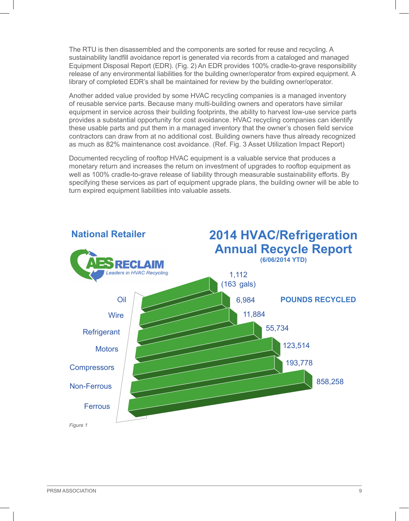The RTU is then disassembled and the components are sorted for reuse and recycling. A sustainability landfill avoidance report is generated via records from a cataloged and managed Equipment Disposal Report (EDR). (Fig. 2) An EDR provides 100% cradle-to-grave responsibility release of any environmental liabilities for the building owner/operator from expired equipment. A library of completed EDR's shall be maintained for review by the building owner/operator.

Another added value provided by some HVAC recycling companies is a managed inventory of reusable service parts. Because many multi-building owners and operators have similar equipment in service across their building footprints, the ability to harvest low-use service parts provides a substantial opportunity for cost avoidance. HVAC recycling companies can identify these usable parts and put them in a managed inventory that the owner's chosen field service contractors can draw from at no additional cost. Building owners have thus already recognized as much as 82% maintenance cost avoidance. (Ref. Fig. 3 Asset Utilization Impact Report)

Documented recycling of rooftop HVAC equipment is a valuable service that produces a monetary return and increases the return on investment of upgrades to rooftop equipment as well as 100% cradle-to-grave release of liability through measurable sustainability efforts. By specifying these services as part of equipment upgrade plans, the building owner will be able to turn expired equipment liabilities into valuable assets.

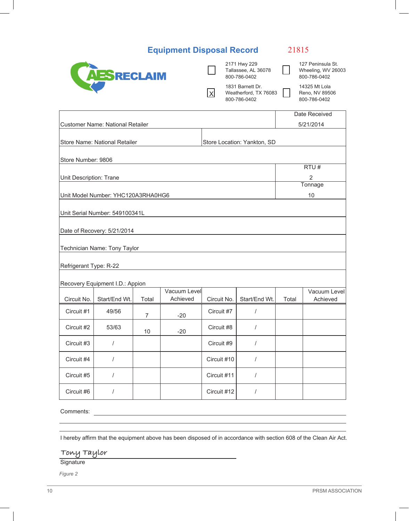| <b>Equipment Disposal Record</b> |  |  |
|----------------------------------|--|--|
|----------------------------------|--|--|

21815

|                         | AESRECLAIM                         |                |                          | lxl         | 2171 Hwy 229<br>Tallassee, AL 36078<br>800-786-0402<br>1831 Barnett Dr.<br>Weatherford, TX 76083<br>800-786-0402 |       | 127 Peninsula St.<br>Wheeling, WV 26003<br>800-786-0402<br>14325 Mt Lola<br>Reno, NV 89506<br>800-786-0402 |
|-------------------------|------------------------------------|----------------|--------------------------|-------------|------------------------------------------------------------------------------------------------------------------|-------|------------------------------------------------------------------------------------------------------------|
|                         | Customer Name: National Retailer   |                |                          |             |                                                                                                                  |       | Date Received<br>5/21/2014                                                                                 |
|                         | Store Name: National Retailer      |                |                          |             | Store Location: Yankton, SD                                                                                      |       |                                                                                                            |
| Store Number: 9806      |                                    |                |                          |             |                                                                                                                  |       |                                                                                                            |
|                         |                                    |                |                          |             |                                                                                                                  |       | RTU#                                                                                                       |
| Unit Description: Trane |                                    |                |                          |             |                                                                                                                  |       | $\overline{2}$<br>Tonnage                                                                                  |
|                         | Unit Model Number: YHC120A3RHA0HG6 |                |                          |             |                                                                                                                  |       | 10                                                                                                         |
|                         | Unit Serial Number: 549100341L     |                |                          |             |                                                                                                                  |       |                                                                                                            |
|                         | Date of Recovery: 5/21/2014        |                |                          |             |                                                                                                                  |       |                                                                                                            |
|                         | Technician Name: Tony Taylor       |                |                          |             |                                                                                                                  |       |                                                                                                            |
| Refrigerant Type: R-22  |                                    |                |                          |             |                                                                                                                  |       |                                                                                                            |
|                         | Recovery Equipment I.D.: Appion    |                |                          |             |                                                                                                                  |       |                                                                                                            |
| Circuit No.             | Start/End Wt.                      | Total          | Vacuum Level<br>Achieved | Circuit No. | Start/End Wt.                                                                                                    | Total | Vacuum Level<br>Achieved                                                                                   |
| Circuit #1              | 49/56                              | $\overline{7}$ | $-20$                    | Circuit #7  | $\prime$                                                                                                         |       |                                                                                                            |
| Circuit #2              | 53/63                              | 10             | $-20$                    | Circuit #8  | $\prime$                                                                                                         |       |                                                                                                            |
| Circuit #3              | $\sqrt{ }$                         |                |                          | Circuit #9  | $\sqrt{ }$                                                                                                       |       |                                                                                                            |
| Circuit #4              | $\sqrt{ }$                         |                |                          | Circuit #10 | $\prime$                                                                                                         |       |                                                                                                            |
| Circuit #5              | $\sqrt{2}$                         |                |                          | Circuit #11 | $\prime$                                                                                                         |       |                                                                                                            |
| Circuit #6              | $\sqrt{ }$                         |                |                          | Circuit #12 | $\sqrt{ }$                                                                                                       |       |                                                                                                            |
|                         |                                    |                |                          |             |                                                                                                                  |       |                                                                                                            |

Comments:

I hereby affirm that the equipment above has been disposed of in accordance with section 608 of the Clean Air Act.

<u> 1989 - Johann Barbara, martxa amerikan personal (h. 1989).</u>

**Tony Taylor**

Signature

*Figure 2*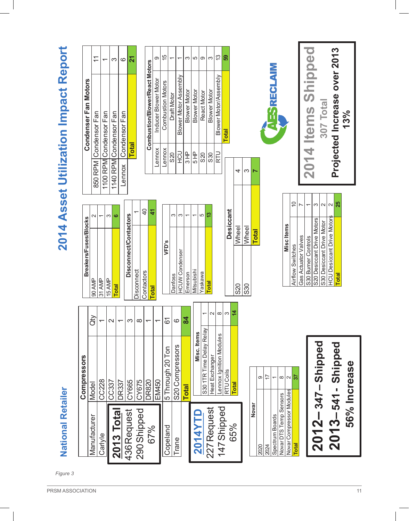| 2014 Asse               |
|-------------------------|
|                         |
|                         |
|                         |
|                         |
|                         |
|                         |
|                         |
|                         |
|                         |
|                         |
|                         |
|                         |
|                         |
|                         |
|                         |
|                         |
|                         |
|                         |
|                         |
|                         |
|                         |
|                         |
|                         |
|                         |
|                         |
|                         |
|                         |
|                         |
|                         |
|                         |
|                         |
|                         |
|                         |
|                         |
|                         |
| <b>National Retaile</b> |
|                         |
|                         |
|                         |
|                         |
|                         |
|                         |

# **t Utiliz a tion Impact Report**

| <b>National Retailer</b> |                          |                   |                             |                  |                   |
|--------------------------|--------------------------|-------------------|-----------------------------|------------------|-------------------|
|                          | Compressors              |                   | Breakers/Fuses/Blocks       |                  |                   |
| Manufacturer             | Model                    | $\widetilde{d}$   | 90 AMP                      | И                | 850 RF            |
| Carlyle                  | CC228                    |                   | 31 AMP                      |                  | 1100 R            |
|                          | CC337                    | $\mathbf{\Omega}$ | 15 AMP                      | ო                | 1140 <sub>R</sub> |
| 2013 Total               | DR337                    |                   | <b>Total</b>                | ဖ                | Lenno             |
| 436 Request              | CY665                    | က                 | Disconnect/Contactors       |                  |                   |
| 290 Shipped              | CY675                    | $\infty$          | Disconnect                  |                  |                   |
| 67%                      | <b>DR820</b>             |                   | Contactors                  | $\overline{4}$   |                   |
|                          | EM450                    |                   | <b>Total</b>                | 4                |                   |
| Copeland                 | 5 Through 20 Ton         | 67                | VFD's                       |                  |                   |
| Trane                    | S20 Compressors          | ဖ                 | <b>Danfoss</b>              | က                |                   |
|                          |                          |                   | <b>HCUW Condenser</b>       | ო                |                   |
|                          | <b>Total</b>             | $\mathbf{z}$      | Emerson                     |                  |                   |
| 2014YTD                  | Misc. Items              |                   | Viitsubishi                 | $\overline{ }$   |                   |
|                          | S30 1TR Time Delay Relay |                   | raskawa                     | 5                |                   |
| 227 Request              | Heat Exchanger           | $\mathbf{\Omega}$ | <b>Total</b>                | 13               |                   |
|                          | Lennox Ignition Modules  | $\infty$          |                             |                  |                   |
| 147 Shipped              | RTU Coils                | ო                 |                             |                  |                   |
| 65%                      |                          |                   |                             | <b>Desiccant</b> |                   |
|                          | <b>Total</b>             | $\overline{4}$    | <b>IWheel</b><br><b>S20</b> |                  |                   |
|                          |                          |                   | Wheel<br>S30                |                  |                   |
| Novar                    |                          |                   | <b>Total</b>                |                  |                   |
| 2020                     | တ                        |                   |                             |                  |                   |
| 2024                     | $\overline{1}$           |                   |                             |                  |                   |

| $\ddot{\phantom{a}}$<br>֖֖֦֦ׅׅ֖֪ׅ֪ׅׅׅׅ֧ׅ֪ׅ֚֚֚֚֚֚֚֚֚֚֚֚֚֡֝֡֡֝֬֝֝֬֝֬ |                 |
|--------------------------------------------------------------------|-----------------|
| <b>Total</b>                                                       |                 |
|                                                                    |                 |
| 347<br>2012                                                        | Shipp           |
|                                                                    |                 |
| 541<br>$\frac{1}{2}$<br>50<br>$\boldsymbol{\mathsf{N}}$            | Shipp           |
| 56%                                                                | <b>Increase</b> |

| Spectrum Boards          |         |
|--------------------------|---------|
| Novar DTS Temp Sensors   |         |
| Novar Compressor Modules |         |
| <b>Total</b>             |         |
|                          |         |
|                          |         |
| $2012 - 347 -$ Shipped   |         |
| $2013 - 541$             | Shipped |

| <b>Miscltems</b>                  |   |
|-----------------------------------|---|
| Airflow Switches                  | ₽ |
| Gas Actuator Valves               |   |
| S30 Burner Controls               |   |
| S20 Desiccant Drive Motors        | က |
| S30 Desiccant Drive Motor         |   |
| <b>HCU Desiccant Drive Motors</b> |   |
| Total                             | ສ |
|                                   |   |

**20 1**

**4 I t e** **307**

**P r oje c**

**ted In**

**c r e** <u>ლ</u> **%**

**ase**

**o ver** 

**201** <u>ო</u>

**To tal**

**ms Shi**

**AESRECLAIM** 

 $|a|$ 

4

**pped**

| Condenser Fan Motors   |         |
|------------------------|---------|
| 850 RPM Condensor Fan  |         |
| 1100 RPM Condensor Fan |         |
| 1140 RPM Condensor Fan | က       |
| Lennox Condensor Fan   | $\circ$ |
| <b>Total</b>           | 21      |
|                        |         |

|             | Combustion/Blower/React Motors |         |
|-------------|--------------------------------|---------|
| Lennox      | Inducer Blower Motor           | σ.      |
| Lennox      | <b>Combustion Motors</b>       | 15      |
| 820         | Draft Motor                    |         |
| <b>UCH</b>  | Blower Motor Assembly          |         |
| 모<br>3<br>5 | <b>Blower Motor</b>            |         |
| 5 HP        | <b>Blower Motor</b>            | Ц       |
| 820         | React Motor                    |         |
| 830         | <b>Blower Motor</b>            |         |
| RTU         | Blower Motor/Assembly          | က်<br>( |
|             | <b>Total</b>                   | တ္တ     |

 $\mathbf c$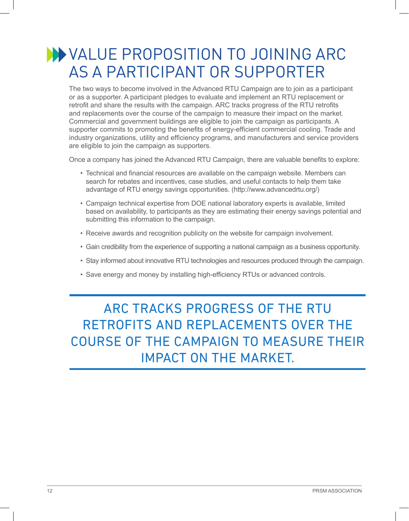#### VALUE PROPOSITION TO JOINING ARC AS A PARTICIPANT OR SUPPORTER

The two ways to become involved in the Advanced RTU Campaign are to join as a participant or as a supporter. A participant pledges to evaluate and implement an RTU replacement or retrofit and share the results with the campaign. ARC tracks progress of the RTU retrofits and replacements over the course of the campaign to measure their impact on the market. Commercial and government buildings are eligible to join the campaign as participants. A supporter commits to promoting the benefits of energy-efficient commercial cooling. Trade and industry organizations, utility and efficiency programs, and manufacturers and service providers are eligible to join the campaign as supporters.

Once a company has joined the Advanced RTU Campaign, there are valuable benefits to explore:

- Technical and financial resources are available on the campaign website. Members can search for rebates and incentives, case studies, and useful contacts to help them take advantage of RTU energy savings opportunities. (http://www.advancedrtu.org/)
- Campaign technical expertise from DOE national laboratory experts is available, limited based on availability, to participants as they are estimating their energy savings potential and submitting this information to the campaign.
- Receive awards and recognition publicity on the website for campaign involvement.
- Gain credibility from the experience of supporting a national campaign as a business opportunity.
- Stay informed about innovative RTU technologies and resources produced through the campaign.
- Save energy and money by installing high-efficiency RTUs or advanced controls.

#### ARC TRACKS PROGRESS OF THE RTU RETROFITS AND REPLACEMENTS OVER THE COURSE OF THE CAMPAIGN TO MEASURE THEIR IMPACT ON THE MARKET.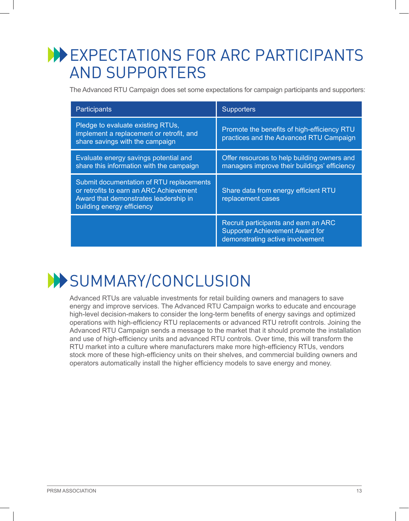#### **WEXPECTATIONS FOR ARC PARTICIPANTS** AND SUPPORTERS

The Advanced RTU Campaign does set some expectations for campaign participants and supporters:

| Participants                                                                                                                                               | <b>Supporters</b>                                                                                                  |
|------------------------------------------------------------------------------------------------------------------------------------------------------------|--------------------------------------------------------------------------------------------------------------------|
| Pledge to evaluate existing RTUs,<br>implement a replacement or retrofit, and<br>share savings with the campaign                                           | Promote the benefits of high-efficiency RTU<br>practices and the Advanced RTU Campaign                             |
| Evaluate energy savings potential and<br>share this information with the campaign                                                                          | Offer resources to help building owners and<br>managers improve their buildings' efficiency                        |
| Submit documentation of RTU replacements<br>or retrofits to earn an ARC Achievement<br>Award that demonstrates leadership in<br>building energy efficiency | Share data from energy efficient RTU<br>replacement cases                                                          |
|                                                                                                                                                            | Recruit participants and earn an ARC<br><b>Supporter Achievement Award for</b><br>demonstrating active involvement |



Advanced RTUs are valuable investments for retail building owners and managers to save energy and improve services. The Advanced RTU Campaign works to educate and encourage high-level decision-makers to consider the long-term benefits of energy savings and optimized operations with high-efficiency RTU replacements or advanced RTU retrofit controls. Joining the Advanced RTU Campaign sends a message to the market that it should promote the installation and use of high-efficiency units and advanced RTU controls. Over time, this will transform the RTU market into a culture where manufacturers make more high-efficiency RTUs, vendors stock more of these high-efficiency units on their shelves, and commercial building owners and operators automatically install the higher efficiency models to save energy and money.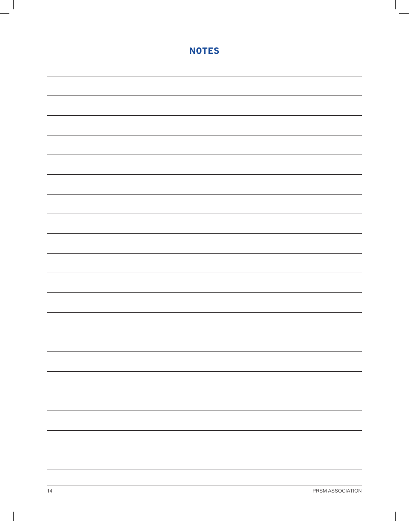| <b>NOTES</b>             |
|--------------------------|
|                          |
|                          |
|                          |
|                          |
|                          |
|                          |
|                          |
|                          |
|                          |
|                          |
|                          |
|                          |
|                          |
|                          |
|                          |
|                          |
|                          |
|                          |
|                          |
|                          |
|                          |
|                          |
|                          |
|                          |
|                          |
|                          |
| $\overline{\phantom{0}}$ |
|                          |
|                          |
|                          |
| $\overline{\phantom{0}}$ |
|                          |
|                          |
|                          |
|                          |
|                          |
|                          |
|                          |